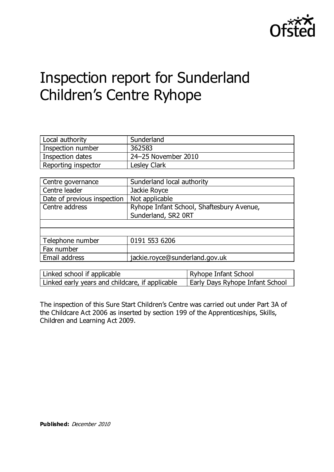

# Inspection report for Sunderland Children's Centre Ryhope

| Local authority     | Sunderland          |
|---------------------|---------------------|
| Inspection number   | 362583              |
| Inspection dates    | 24-25 November 2010 |
| Reporting inspector | <b>Lesley Clark</b> |

| Centre governance           | Sunderland local authority                |
|-----------------------------|-------------------------------------------|
| Centre leader               | Jackie Royce                              |
| Date of previous inspection | Not applicable                            |
| Centre address              | Ryhope Infant School, Shaftesbury Avenue, |
|                             | Sunderland, SR2 ORT                       |
|                             |                                           |
|                             |                                           |
| Telephone number            | 0191 553 6206                             |
| Fax number                  |                                           |
| Email address               | jackie.royce@sunderland.gov.uk            |

| Linked school if applicable                     | Ryhope Infant School            |
|-------------------------------------------------|---------------------------------|
| Linked early years and childcare, if applicable | Early Days Ryhope Infant School |

The inspection of this Sure Start Children's Centre was carried out under Part 3A of the Childcare Act 2006 as inserted by section 199 of the Apprenticeships, Skills, Children and Learning Act 2009.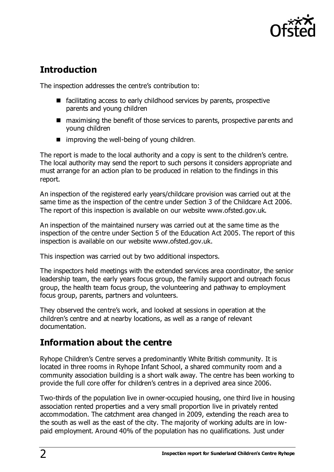

## **Introduction**

The inspection addresses the centre's contribution to:

- facilitating access to early childhood services by parents, prospective parents and young children
- maximising the benefit of those services to parents, prospective parents and young children
- $\blacksquare$  improving the well-being of young children.

The report is made to the local authority and a copy is sent to the children's centre. The local authority may send the report to such persons it considers appropriate and must arrange for an action plan to be produced in relation to the findings in this report.

An inspection of the registered early years/childcare provision was carried out at the same time as the inspection of the centre under Section 3 of the Childcare Act 2006. The report of this inspection is available on our website [www.ofsted.gov.uk.](http://www.ofsted.gov.uk/)

An inspection of the maintained nursery was carried out at the same time as the inspection of the centre under Section 5 of the Education Act 2005. The report of this inspection is available on our website [www.ofsted.gov.uk.](http://www.ofsted.gov.uk/)

This inspection was carried out by two additional inspectors.

The inspectors held meetings with the extended services area coordinator, the senior leadership team, the early years focus group, the family support and outreach focus group, the health team focus group, the volunteering and pathway to employment focus group, parents, partners and volunteers.

They observed the centre's work, and looked at sessions in operation at the children's centre and at nearby locations, as well as a range of relevant documentation.

## **Information about the centre**

Ryhope Children's Centre serves a predominantly White British community. It is located in three rooms in Ryhope Infant School, a shared community room and a community association building is a short walk away. The centre has been working to provide the full core offer for children's centres in a deprived area since 2006.

Two-thirds of the population live in owner-occupied housing, one third live in housing association rented properties and a very small proportion live in privately rented accommodation. The catchment area changed in 2009, extending the reach area to the south as well as the east of the city. The majority of working adults are in lowpaid employment. Around 40% of the population has no qualifications. Just under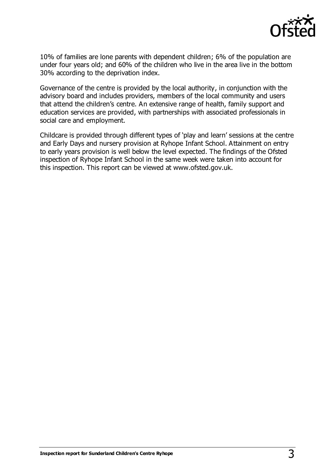

10% of families are lone parents with dependent children; 6% of the population are under four years old; and 60% of the children who live in the area live in the bottom 30% according to the deprivation index.

Governance of the centre is provided by the local authority, in conjunction with the advisory board and includes providers, members of the local community and users that attend the children's centre. An extensive range of health, family support and education services are provided, with partnerships with associated professionals in social care and employment.

Childcare is provided through different types of 'play and learn' sessions at the centre and Early Days and nursery provision at Ryhope Infant School. Attainment on entry to early years provision is well below the level expected. The findings of the Ofsted inspection of Ryhope Infant School in the same week were taken into account for this inspection. This report can be viewed at www.ofsted.gov.uk.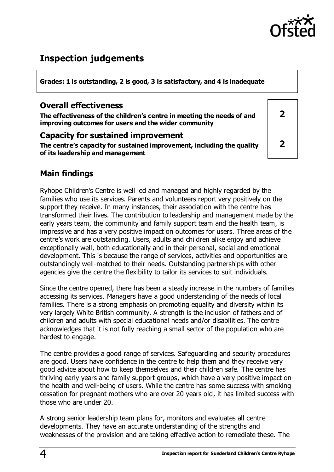

## **Inspection judgements**

**Grades: 1 is outstanding, 2 is good, 3 is satisfactory, and 4 is inadequate**

#### **Overall effectiveness**

**The effectiveness of the children's centre in meeting the needs of and improving outcomes for users and the wider community**

#### **Capacity for sustained improvement**

**The centre's capacity for sustained improvement, including the quality of its leadership and management**

| $\overline{\mathbf{2}}$ |  |
|-------------------------|--|
| $\overline{\mathbf{2}}$ |  |

### **Main findings**

Ryhope Children's Centre is well led and managed and highly regarded by the families who use its services. Parents and volunteers report very positively on the support they receive. In many instances, their association with the centre has transformed their lives. The contribution to leadership and management made by the early years team, the community and family support team and the health team, is impressive and has a very positive impact on outcomes for users. Three areas of the centre's work are outstanding. Users, adults and children alike enjoy and achieve exceptionally well, both educationally and in their personal, social and emotional development. This is because the range of services, activities and opportunities are outstandingly well-matched to their needs. Outstanding partnerships with other agencies give the centre the flexibility to tailor its services to suit individuals.

Since the centre opened, there has been a steady increase in the numbers of families accessing its services. Managers have a good understanding of the needs of local families. There is a strong emphasis on promoting equality and diversity within its very largely White British community. A strength is the inclusion of fathers and of children and adults with special educational needs and/or disabilities. The centre acknowledges that it is not fully reaching a small sector of the population who are hardest to engage.

The centre provides a good range of services. Safeguarding and security procedures are good. Users have confidence in the centre to help them and they receive very good advice about how to keep themselves and their children safe. The centre has thriving early years and family support groups, which have a very positive impact on the health and well-being of users. While the centre has some success with smoking cessation for pregnant mothers who are over 20 years old, it has limited success with those who are under 20.

A strong senior leadership team plans for, monitors and evaluates all centre developments. They have an accurate understanding of the strengths and weaknesses of the provision and are taking effective action to remediate these. The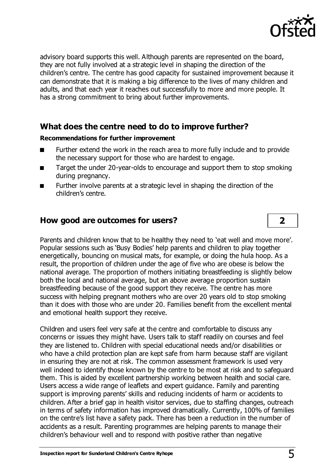

advisory board supports this well. Although parents are represented on the board, they are not fully involved at a strategic level in shaping the direction of the children's centre. The centre has good capacity for sustained improvement because it can demonstrate that it is making a big difference to the lives of many children and adults, and that each year it reaches out successfully to more and more people. It has a strong commitment to bring about further improvements.

#### **What does the centre need to do to improve further?**

#### **Recommendations for further improvement**

- Further extend the work in the reach area to more fully include and to provide the necessary support for those who are hardest to engage.
- Target the under 20-year-olds to encourage and support them to stop smoking during pregnancy.
- Further involve parents at a strategic level in shaping the direction of the children's centre.

#### **How good are outcomes for users? 2**

Parents and children know that to be healthy they need to 'eat well and move more'. Popular sessions such as 'Busy Bodies' help parents and children to play together energetically, bouncing on musical mats, for example, or doing the hula hoop. As a result, the proportion of children under the age of five who are obese is below the national average. The proportion of mothers initiating breastfeeding is slightly below both the local and national average, but an above average proportion sustain breastfeeding because of the good support they receive. The centre has more success with helping pregnant mothers who are over 20 years old to stop smoking than it does with those who are under 20. Families benefit from the excellent mental and emotional health support they receive.

Children and users feel very safe at the centre and comfortable to discuss any concerns or issues they might have. Users talk to staff readily on courses and feel they are listened to. Children with special educational needs and/or disabilities or who have a child protection plan are kept safe from harm because staff are vigilant in ensuring they are not at risk. The common assessment framework is used very well indeed to identify those known by the centre to be most at risk and to safeguard them. This is aided by excellent partnership working between health and social care. Users access a wide range of leaflets and expert guidance. Family and parenting support is improving parents' skills and reducing incidents of harm or accidents to children. After a brief gap in health visitor services, due to staffing changes, outreach in terms of safety information has improved dramatically. Currently, 100% of families on the centre's list have a safety pack. There has been a reduction in the number of accidents as a result. Parenting programmes are helping parents to manage their children's behaviour well and to respond with positive rather than negative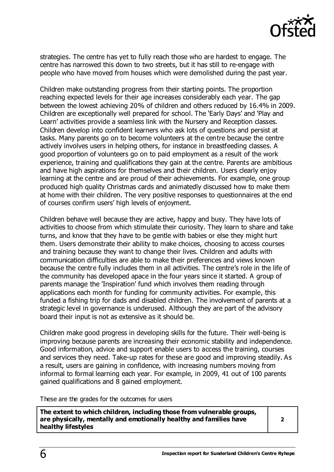

strategies. The centre has yet to fully reach those who are hardest to engage. The centre has narrowed this down to two streets, but it has still to re-engage with people who have moved from houses which were demolished during the past year.

Children make outstanding progress from their starting points. The proportion reaching expected levels for their age increases considerably each year. The gap between the lowest achieving 20% of children and others reduced by 16.4% in 2009. Children are exceptionally well prepared for school. The 'Early Days' and 'Play and Learn' activities provide a seamless link with the Nursery and Reception classes. Children develop into confident learners who ask lots of questions and persist at tasks. Many parents go on to become volunteers at the centre because the centre actively involves users in helping others, for instance in breastfeeding classes. A good proportion of volunteers go on to paid employment as a result of the work experience, training and qualifications they gain at the centre. Parents are ambitious and have high aspirations for themselves and their children. Users clearly enjoy learning at the centre and are proud of their achievements. For example, one group produced high quality Christmas cards and animatedly discussed how to make them at home with their children. The very positive responses to questionnaires at the end of courses confirm users' high levels of enjoyment.

Children behave well because they are active, happy and busy. They have lots of activities to choose from which stimulate their curiosity. They learn to share and take turns, and know that they have to be gentle with babies or else they might hurt them. Users demonstrate their ability to make choices, choosing to access courses and training because they want to change their lives. Children and adults with communication difficulties are able to make their preferences and views known because the centre fully includes them in all activities. The centre's role in the life of the community has developed apace in the four years since it started. A group of parents manage the 'Inspiration' fund which involves them reading through applications each month for funding for community activities. For example, this funded a fishing trip for dads and disabled children. The involvement of parents at a strategic level in governance is underused. Although they are part of the advisory board their input is not as extensive as it should be.

Children make good progress in developing skills for the future. Their well-being is improving because parents are increasing their economic stability and independence. Good information, advice and support enable users to access the training, courses and services they need. Take-up rates for these are good and improving steadily. As a result, users are gaining in confidence, with increasing numbers moving from informal to formal learning each year. For example, in 2009, 41 out of 100 parents gained qualifications and 8 gained employment.

These are the grades for the outcomes for users

**The extent to which children, including those from vulnerable groups, are physically, mentally and emotionally healthy and families have healthy lifestyles**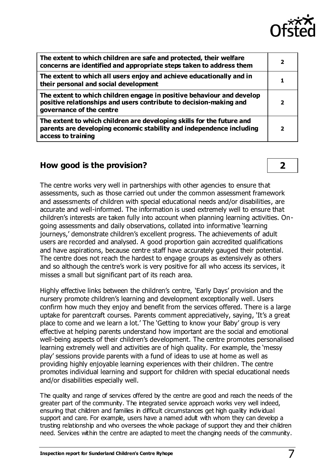

| The extent to which children are safe and protected, their welfare<br>concerns are identified and appropriate steps taken to address them                               | $\overline{\mathbf{2}}$ |
|-------------------------------------------------------------------------------------------------------------------------------------------------------------------------|-------------------------|
| The extent to which all users enjoy and achieve educationally and in<br>their personal and social development                                                           | 1                       |
| The extent to which children engage in positive behaviour and develop<br>positive relationships and users contribute to decision-making and<br>governance of the centre | 2                       |
| The extent to which children are developing skills for the future and<br>parents are developing economic stability and independence including<br>access to training     | 2                       |

#### **How good is the provision? 2**

The centre works very well in partnerships with other agencies to ensure that assessments, such as those carried out under the common assessment framework and assessments of children with special educational needs and/or disabilities, are accurate and well-informed. The information is used extremely well to ensure that children's interests are taken fully into account when planning learning activities. Ongoing assessments and daily observations, collated into informative 'learning journeys,' demonstrate children's excellent progress. The achievements of adult users are recorded and analysed. A good proportion gain accredited qualifications and have aspirations, because centre staff have accurately gauged their potential. The centre does not reach the hardest to engage groups as extensively as others and so although the centre's work is very positive for all who access its services, it misses a small but significant part of its reach area.

Highly effective links between the children's centre, 'Early Days' provision and the nursery promote children's learning and development exceptionally well. Users confirm how much they enjoy and benefit from the services offered. There is a large uptake for parentcraft courses. Parents comment appreciatively, saying, 'It's a great place to come and we learn a lot.' The 'Getting to know your Baby' group is very effective at helping parents understand how important are the social and emotional well-being aspects of their children's development. The centre promotes personalised learning extremely well and activities are of high quality. For example, the 'messy play' sessions provide parents with a fund of ideas to use at home as well as providing highly enjoyable learning experiences with their children. The centre promotes individual learning and support for children with special educational needs and/or disabilities especially well.

The quality and range of services offered by the centre are good and reach the needs of the greater part of the community. The integrated service approach works very well indeed, ensuring that children and families in difficult circumstances get high quality individual support and care. For example, users have a named adult with whom they can develop a trusting relationship and who oversees the whole package of support they and their children need. Services within the centre are adapted to meet the changing needs of the community.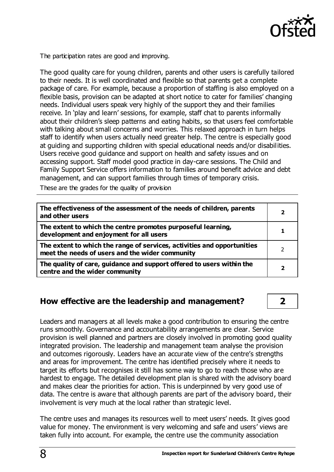

The participation rates are good and improving.

The good quality care for young children, parents and other users is carefully tailored to their needs. It is well coordinated and flexible so that parents get a complete package of care. For example, because a proportion of staffing is also employed on a flexible basis, provision can be adapted at short notice to cater for families' changing needs. Individual users speak very highly of the support they and their families receive. In 'play and learn' sessions, for example, staff chat to parents informally about their children's sleep patterns and eating habits, so that users feel comfortable with talking about small concerns and worries. This relaxed approach in turn helps staff to identify when users actually need greater help. The centre is especially good at guiding and supporting children with special educational needs and/or disabilities. Users receive good guidance and support on health and safety issues and on accessing support. Staff model good practice in day-care sessions. The Child and Family Support Service offers information to families around benefit advice and debt management, and can support families through times of temporary crisis.

These are the grades for the quality of provision

| The effectiveness of the assessment of the needs of children, parents<br>and other users                                   | 2 |
|----------------------------------------------------------------------------------------------------------------------------|---|
| The extent to which the centre promotes purposeful learning,<br>development and enjoyment for all users                    |   |
| The extent to which the range of services, activities and opportunities<br>meet the needs of users and the wider community |   |
| The quality of care, guidance and support offered to users within the<br>centre and the wider community                    |   |

#### **How effective are the leadership and management? 2**

Leaders and managers at all levels make a good contribution to ensuring the centre runs smoothly. Governance and accountability arrangements are clear. Service provision is well planned and partners are closely involved in promoting good quality integrated provision. The leadership and management team analyse the provision and outcomes rigorously. Leaders have an accurate view of the centre's strengths and areas for improvement. The centre has identified precisely where it needs to target its efforts but recognises it still has some way to go to reach those who are hardest to engage. The detailed development plan is shared with the advisory board and makes clear the priorities for action. This is underpinned by very good use of data. The centre is aware that although parents are part of the advisory board, their involvement is very much at the local rather than strategic level.

The centre uses and manages its resources well to meet users' needs. It gives good value for money. The environment is very welcoming and safe and users' views are taken fully into account. For example, the centre use the community association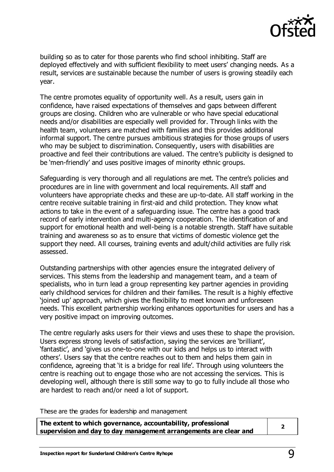

building so as to cater for those parents who find school inhibiting. Staff are deployed effectively and with sufficient flexibility to meet users' changing needs. As a result, services are sustainable because the number of users is growing steadily each year.

The centre promotes equality of opportunity well. As a result, users gain in confidence, have raised expectations of themselves and gaps between different groups are closing. Children who are vulnerable or who have special educational needs and/or disabilities are especially well provided for. Through links with the health team, volunteers are matched with families and this provides additional informal support. The centre pursues ambitious strategies for those groups of users who may be subject to discrimination. Consequently, users with disabilities are proactive and feel their contributions are valued. The centre's publicity is designed to be 'men-friendly' and uses positive images of minority ethnic groups.

Safeguarding is very thorough and all regulations are met. The centre's policies and procedures are in line with government and local requirements. All staff and volunteers have appropriate checks and these are up-to-date. All staff working in the centre receive suitable training in first-aid and child protection. They know what actions to take in the event of a safeguarding issue. The centre has a good track record of early intervention and multi-agency cooperation. The identification of and support for emotional health and well-being is a notable strength. Staff have suitable training and awareness so as to ensure that victims of domestic violence get the support they need. All courses, training events and adult/child activities are fully risk assessed.

Outstanding partnerships with other agencies ensure the integrated delivery of services. This stems from the leadership and management team, and a team of specialists, who in turn lead a group representing key partner agencies in providing early childhood services for children and their families. The result is a highly effective 'joined up' approach, which gives the flexibility to meet known and unforeseen needs. This excellent partnership working enhances opportunities for users and has a very positive impact on improving outcomes.

The centre regularly asks users for their views and uses these to shape the provision. Users express strong levels of satisfaction, saying the services are 'brilliant', 'fantastic', and 'gives us one-to-one with our kids and helps us to interact with others'. Users say that the centre reaches out to them and helps them gain in confidence, agreeing that 'it is a bridge for real life'. Through using volunteers the centre is reaching out to engage those who are not accessing the services. This is developing well, although there is still some way to go to fully include all those who are hardest to reach and/or need a lot of support.

These are the grades for leadership and management

| The extent to which governance, accountability, professional     |  |
|------------------------------------------------------------------|--|
| supervision and day to day management arrangements are clear and |  |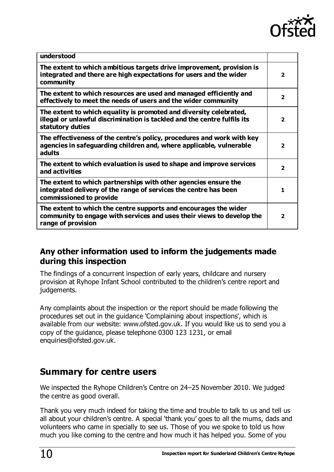

| understood                                                                                                                                                         |                         |
|--------------------------------------------------------------------------------------------------------------------------------------------------------------------|-------------------------|
| The extent to which ambitious targets drive improvement, provision is<br>integrated and there are high expectations for users and the wider<br>community           | $\overline{\mathbf{2}}$ |
| The extent to which resources are used and managed efficiently and<br>effectively to meet the needs of users and the wider community                               | $\overline{2}$          |
| The extent to which equality is promoted and diversity celebrated,<br>illegal or unlawful discrimination is tackled and the centre fulfils its<br>statutory duties | $\overline{2}$          |
| The effectiveness of the centre's policy, procedures and work with key<br>agencies in safeguarding children and, where applicable, vulnerable<br>adults            | $\overline{\mathbf{2}}$ |
| The extent to which evaluation is used to shape and improve services<br>and activities                                                                             | $\overline{2}$          |
| The extent to which partnerships with other agencies ensure the<br>integrated delivery of the range of services the centre has been<br>commissioned to provide     | 1                       |
| The extent to which the centre supports and encourages the wider<br>community to engage with services and uses their views to develop the<br>range of provision    | $\overline{\mathbf{2}}$ |

### **Any other information used to inform the judgements made during this inspection**

The findings of a concurrent inspection of early years, childcare and nursery provision at Ryhope Infant School contributed to the children's centre report and judgements.

Any complaints about the inspection or the report should be made following the procedures set out in the guidance 'Complaining about inspections', which is available from our website: [www.ofsted.gov.uk.](http://www.ofsted.gov.uk/) If you would like us to send you a copy of the guidance, please telephone 0300 123 1231, or email [enquiries@ofsted.gov.uk.](mailto:enquiries@ofsted.gov.uk)

## **Summary for centre users**

We inspected the Ryhope Children's Centre on 24–25 November 2010. We judged the centre as good overall.

Thank you very much indeed for taking the time and trouble to talk to us and tell us all about your children's centre. A special 'thank you' goes to all the mums, dads and volunteers who came in specially to see us. Those of you we spoke to told us how much you like coming to the centre and how much it has helped you. Some of you